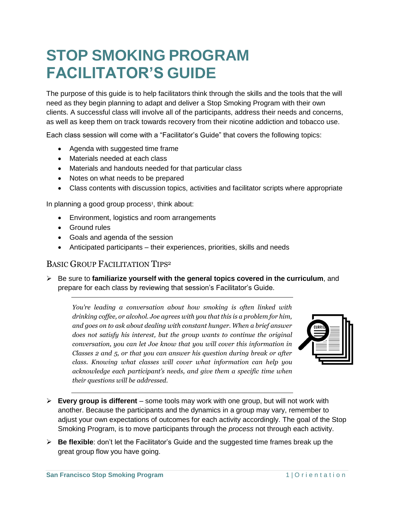## **STOP SMOKING PROGRAM FACILITATOR'S GUIDE**

The purpose of this guide is to help facilitators think through the skills and the tools that the will need as they begin planning to adapt and deliver a Stop Smoking Program with their own clients. A successful class will involve all of the participants, address their needs and concerns, as well as keep them on track towards recovery from their nicotine addiction and tobacco use.

Each class session will come with a "Facilitator's Guide" that covers the following topics:

- Agenda with suggested time frame
- Materials needed at each class
- Materials and handouts needed for that particular class
- Notes on what needs to be prepared
- Class contents with discussion topics, activities and facilitator scripts where appropriate

In planning a good group process<sup>1</sup>, think about:

- Environment, logistics and room arrangements
- Ground rules
- Goals and agenda of the session
- Anticipated participants their experiences, priorities, skills and needs

## BASIC GROUP FACILITATION TIPS<sup>2</sup>

 Be sure to **familiarize yourself with the general topics covered in the curriculum**, and prepare for each class by reviewing that session's Facilitator's Guide.

*You're leading a conversation about how smoking is often linked with drinking coffee, or alcohol. Joe agrees with you that this is a problem for him, and goes on to ask about dealing with constant hunger. When a brief answer does not satisfy his interest, but the group wants to continue the original conversation, you can let Joe know that you will cover this information in Classes 2 and 5, or that you can answer his question during break or after class. Knowing what classes will cover what information can help you acknowledge each participant's needs, and give them a specific time when their questions will be addressed.* 



- **Every group is different** some tools may work with one group, but will not work with another. Because the participants and the dynamics in a group may vary, remember to adjust your own expectations of outcomes for each activity accordingly. The goal of the Stop Smoking Program, is to move participants through the *process* not through each activity.
- **Be flexible**: don't let the Facilitator's Guide and the suggested time frames break up the great group flow you have going.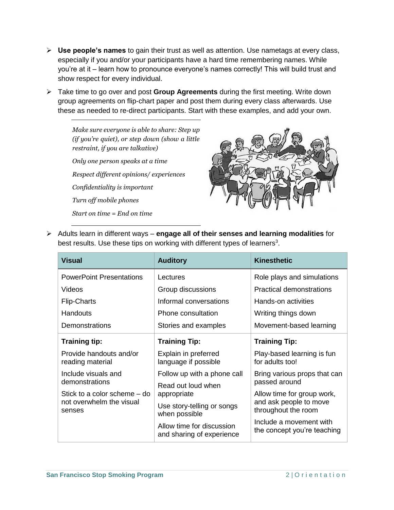- **Use people's names** to gain their trust as well as attention. Use nametags at every class, especially if you and/or your participants have a hard time remembering names. While you're at it – learn how to pronounce everyone's names correctly! This will build trust and show respect for every individual.
- Take time to go over and post **Group Agreements** during the first meeting. Write down group agreements on flip-chart paper and post them during every class afterwards. Use these as needed to re-direct participants. Start with these examples, and add your own.

*Make sure everyone is able to share: Step up (if you're quiet), or step down (show a little restraint, if you are talkative) Only one person speaks at a time Respect different opinions/ experiences Confidentiality is important Turn off mobile phones Start on time = End on time*



 Adults learn in different ways – **engage all of their senses and learning modalities** for best results. Use these tips on working with different types of learners<sup>3</sup>.

| <b>Visual</b>                                                      | <b>Auditory</b>                                        | <b>Kinesthetic</b>                                                          |
|--------------------------------------------------------------------|--------------------------------------------------------|-----------------------------------------------------------------------------|
| <b>PowerPoint Presentations</b>                                    | Lectures                                               | Role plays and simulations                                                  |
| Videos                                                             | Group discussions                                      | <b>Practical demonstrations</b>                                             |
| <b>Flip-Charts</b>                                                 | Informal conversations                                 | Hands-on activities                                                         |
| Handouts                                                           | Phone consultation                                     | Writing things down                                                         |
| Demonstrations                                                     | Stories and examples                                   | Movement-based learning                                                     |
| <b>Training tip:</b>                                               | <b>Training Tip:</b>                                   | <b>Training Tip:</b>                                                        |
| Provide handouts and/or<br>reading material                        | Explain in preferred<br>language if possible           | Play-based learning is fun<br>for adults too!                               |
| Include visuals and                                                | Follow up with a phone call                            | Bring various props that can<br>passed around                               |
| demonstrations                                                     | Read out loud when<br>appropriate                      |                                                                             |
| Stick to a color scheme – do<br>not overwhelm the visual<br>senses |                                                        | Allow time for group work,<br>and ask people to move<br>throughout the room |
|                                                                    | Use story-telling or songs<br>when possible            |                                                                             |
|                                                                    | Allow time for discussion<br>and sharing of experience | Include a movement with<br>the concept you're teaching                      |